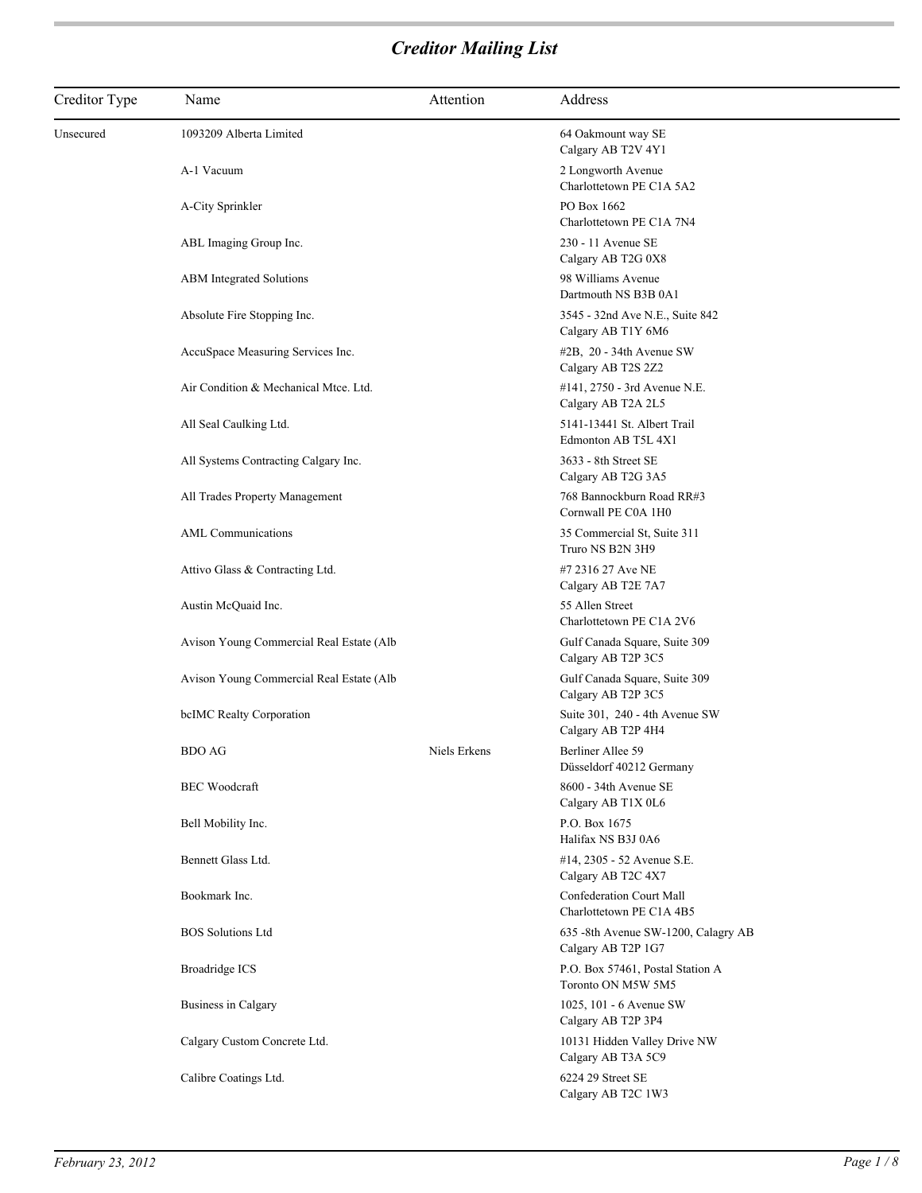| Creditor Type | Name                                     | Attention    | Address                                                   |
|---------------|------------------------------------------|--------------|-----------------------------------------------------------|
| Unsecured     | 1093209 Alberta Limited                  |              | 64 Oakmount way SE<br>Calgary AB T2V 4Y1                  |
|               | A-1 Vacuum                               |              | 2 Longworth Avenue<br>Charlottetown PE C1A 5A2            |
|               | A-City Sprinkler                         |              | PO Box 1662<br>Charlottetown PE C1A 7N4                   |
|               | ABL Imaging Group Inc.                   |              | 230 - 11 Avenue SE<br>Calgary AB T2G 0X8                  |
|               | ABM Integrated Solutions                 |              | 98 Williams Avenue<br>Dartmouth NS B3B 0A1                |
|               | Absolute Fire Stopping Inc.              |              | 3545 - 32nd Ave N.E., Suite 842<br>Calgary AB T1Y 6M6     |
|               | AccuSpace Measuring Services Inc.        |              | #2B, 20 - 34th Avenue SW<br>Calgary AB T2S 2Z2            |
|               | Air Condition & Mechanical Mtce. Ltd.    |              | #141, 2750 - 3rd Avenue N.E.<br>Calgary AB T2A 2L5        |
|               | All Seal Caulking Ltd.                   |              | 5141-13441 St. Albert Trail<br>Edmonton AB T5L 4X1        |
|               | All Systems Contracting Calgary Inc.     |              | 3633 - 8th Street SE<br>Calgary AB T2G 3A5                |
|               | All Trades Property Management           |              | 768 Bannockburn Road RR#3<br>Cornwall PE C0A 1H0          |
|               | AML Communications                       |              | 35 Commercial St, Suite 311<br>Truro NS B2N 3H9           |
|               | Attivo Glass & Contracting Ltd.          |              | #7 2316 27 Ave NE<br>Calgary AB T2E 7A7                   |
|               | Austin McQuaid Inc.                      |              | 55 Allen Street<br>Charlottetown PE C1A 2V6               |
|               | Avison Young Commercial Real Estate (Alb |              | Gulf Canada Square, Suite 309<br>Calgary AB T2P 3C5       |
|               | Avison Young Commercial Real Estate (Alb |              | Gulf Canada Square, Suite 309<br>Calgary AB T2P 3C5       |
|               | bcIMC Realty Corporation                 |              | Suite 301, 240 - 4th Avenue SW<br>Calgary AB T2P 4H4      |
|               | <b>BDO AG</b>                            | Niels Erkens | Berliner Allee 59<br>Düsseldorf 40212 Germany             |
|               | <b>BEC</b> Woodcraft                     |              | 8600 - 34th Avenue SE<br>Calgary AB T1X 0L6               |
|               | Bell Mobility Inc.                       |              | P.O. Box 1675<br>Halifax NS B3J 0A6                       |
|               | Bennett Glass Ltd.                       |              | #14, 2305 - 52 Avenue S.E.<br>Calgary AB T2C 4X7          |
|               | Bookmark Inc.                            |              | Confederation Court Mall<br>Charlottetown PE C1A 4B5      |
|               | <b>BOS</b> Solutions Ltd                 |              | 635 -8th Avenue SW-1200, Calagry AB<br>Calgary AB T2P 1G7 |
|               | Broadridge ICS                           |              | P.O. Box 57461, Postal Station A<br>Toronto ON M5W 5M5    |
|               | Business in Calgary                      |              | 1025, 101 - 6 Avenue SW<br>Calgary AB T2P 3P4             |
|               | Calgary Custom Concrete Ltd.             |              | 10131 Hidden Valley Drive NW<br>Calgary AB T3A 5C9        |
|               | Calibre Coatings Ltd.                    |              | 6224 29 Street SE<br>Calgary AB T2C 1W3                   |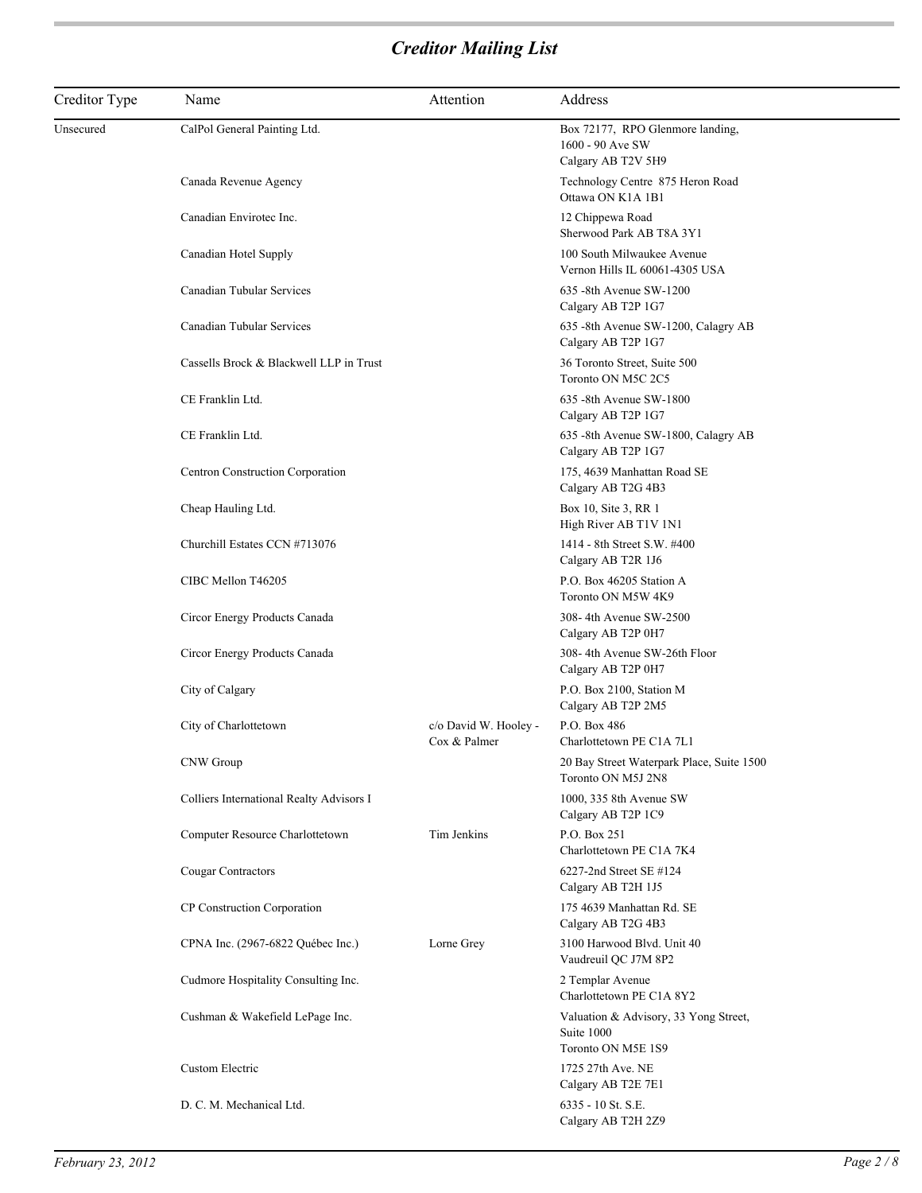| Creditor Type | Name                                     | Attention                             | Address                                                                    |
|---------------|------------------------------------------|---------------------------------------|----------------------------------------------------------------------------|
| Unsecured     | CalPol General Painting Ltd.             |                                       | Box 72177, RPO Glenmore landing,<br>1600 - 90 Ave SW<br>Calgary AB T2V 5H9 |
|               | Canada Revenue Agency                    |                                       | Technology Centre 875 Heron Road<br>Ottawa ON K1A 1B1                      |
|               | Canadian Envirotec Inc.                  |                                       | 12 Chippewa Road<br>Sherwood Park AB T8A 3Y1                               |
|               | Canadian Hotel Supply                    |                                       | 100 South Milwaukee Avenue<br>Vernon Hills IL 60061-4305 USA               |
|               | Canadian Tubular Services                |                                       | 635 -8th Avenue SW-1200<br>Calgary AB T2P 1G7                              |
|               | Canadian Tubular Services                |                                       | 635 -8th Avenue SW-1200, Calagry AB<br>Calgary AB T2P 1G7                  |
|               | Cassells Brock & Blackwell LLP in Trust  |                                       | 36 Toronto Street, Suite 500<br>Toronto ON M5C 2C5                         |
|               | CE Franklin Ltd.                         |                                       | 635 -8th Avenue SW-1800<br>Calgary AB T2P 1G7                              |
|               | CE Franklin Ltd.                         |                                       | 635 -8th Avenue SW-1800, Calagry AB<br>Calgary AB T2P 1G7                  |
|               | Centron Construction Corporation         |                                       | 175, 4639 Manhattan Road SE<br>Calgary AB T2G 4B3                          |
|               | Cheap Hauling Ltd.                       |                                       | Box 10, Site 3, RR 1<br>High River AB T1V 1N1                              |
|               | Churchill Estates CCN #713076            |                                       | 1414 - 8th Street S.W. #400<br>Calgary AB T2R 1J6                          |
|               | CIBC Mellon T46205                       |                                       | P.O. Box 46205 Station A<br>Toronto ON M5W 4K9                             |
|               | Circor Energy Products Canada            |                                       | 308-4th Avenue SW-2500<br>Calgary AB T2P 0H7                               |
|               | Circor Energy Products Canada            |                                       | 308-4th Avenue SW-26th Floor<br>Calgary AB T2P 0H7                         |
|               | City of Calgary                          |                                       | P.O. Box 2100, Station M<br>Calgary AB T2P 2M5                             |
|               | City of Charlottetown                    | c/o David W. Hooley -<br>Cox & Palmer | P.O. Box 486<br>Charlottetown PE C1A 7L1                                   |
|               | CNW Group                                |                                       | 20 Bay Street Waterpark Place, Suite 1500<br>Toronto ON M5J 2N8            |
|               | Colliers International Realty Advisors I |                                       | 1000, 335 8th Avenue SW<br>Calgary AB T2P 1C9                              |
|               | Computer Resource Charlottetown          | Tim Jenkins                           | P.O. Box 251<br>Charlottetown PE C1A 7K4                                   |
|               | Cougar Contractors                       |                                       | 6227-2nd Street SE #124<br>Calgary AB T2H 1J5                              |
|               | CP Construction Corporation              |                                       | 175 4639 Manhattan Rd. SE<br>Calgary AB T2G 4B3                            |
|               | CPNA Inc. (2967-6822 Québec Inc.)        | Lorne Grey                            | 3100 Harwood Blvd. Unit 40<br>Vaudreuil QC J7M 8P2                         |
|               | Cudmore Hospitality Consulting Inc.      |                                       | 2 Templar Avenue<br>Charlottetown PE C1A 8Y2                               |
|               | Cushman & Wakefield LePage Inc.          |                                       | Valuation & Advisory, 33 Yong Street,<br>Suite 1000<br>Toronto ON M5E 1S9  |
|               | Custom Electric                          |                                       | 1725 27th Ave. NE<br>Calgary AB T2E 7E1                                    |
|               | D. C. M. Mechanical Ltd.                 |                                       | 6335 - 10 St. S.E.<br>Calgary AB T2H 2Z9                                   |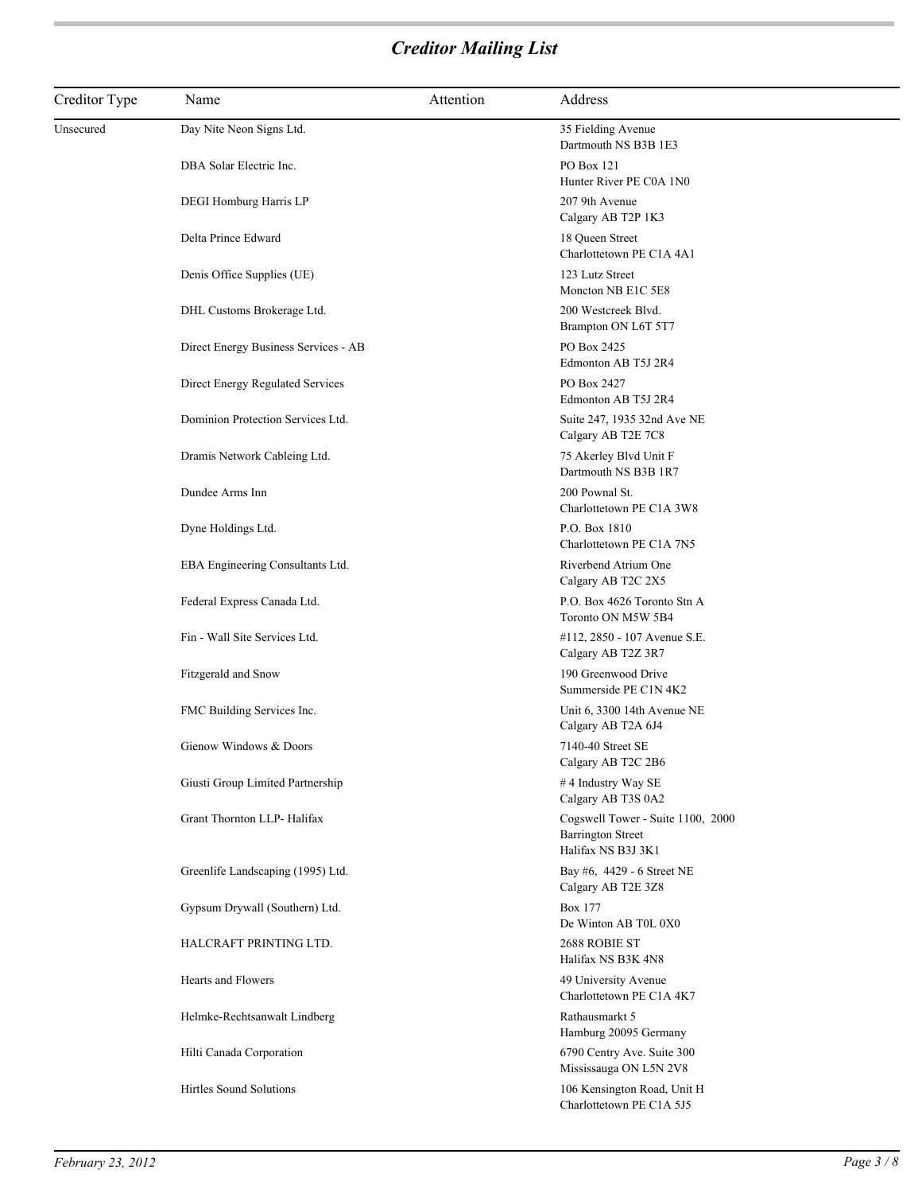| Creditor Type | Name                                 | Attention | Address                                                                             |
|---------------|--------------------------------------|-----------|-------------------------------------------------------------------------------------|
| Unsecured     | Day Nite Neon Signs Ltd.             |           | 35 Fielding Avenue<br>Dartmouth NS B3B 1E3                                          |
|               | DBA Solar Electric Inc.              |           | PO Box 121<br>Hunter River PE C0A 1N0                                               |
|               | DEGI Homburg Harris LP               |           | 207 9th Avenue<br>Calgary AB T2P 1K3                                                |
|               | Delta Prince Edward                  |           | 18 Queen Street<br>Charlottetown PE C1A 4A1                                         |
|               | Denis Office Supplies (UE)           |           | 123 Lutz Street<br>Moncton NB E1C 5E8                                               |
|               | DHL Customs Brokerage Ltd.           |           | 200 Westcreek Blvd.<br>Brampton ON L6T 5T7                                          |
|               | Direct Energy Business Services - AB |           | PO Box 2425<br>Edmonton AB T5J 2R4                                                  |
|               | Direct Energy Regulated Services     |           | PO Box 2427<br>Edmonton AB T5J 2R4                                                  |
|               | Dominion Protection Services Ltd.    |           | Suite 247, 1935 32nd Ave NE<br>Calgary AB T2E 7C8                                   |
|               | Dramis Network Cableing Ltd.         |           | 75 Akerley Blvd Unit F<br>Dartmouth NS B3B 1R7                                      |
|               | Dundee Arms Inn                      |           | 200 Pownal St.<br>Charlottetown PE C1A 3W8                                          |
|               | Dyne Holdings Ltd.                   |           | P.O. Box 1810<br>Charlottetown PE C1A 7N5                                           |
|               | EBA Engineering Consultants Ltd.     |           | Riverbend Atrium One<br>Calgary AB T2C 2X5                                          |
|               | Federal Express Canada Ltd.          |           | P.O. Box 4626 Toronto Stn A<br>Toronto ON M5W 5B4                                   |
|               | Fin - Wall Site Services Ltd.        |           | #112, 2850 - 107 Avenue S.E.<br>Calgary AB T2Z 3R7                                  |
|               | Fitzgerald and Snow                  |           | 190 Greenwood Drive<br>Summerside PE C1N 4K2                                        |
|               | FMC Building Services Inc.           |           | Unit 6, 3300 14th Avenue NE<br>Calgary AB T2A 6J4                                   |
|               | Gienow Windows & Doors               |           | 7140-40 Street SE<br>Calgary AB T2C 2B6                                             |
|               | Giusti Group Limited Partnership     |           | #4 Industry Way SE<br>Calgary AB T3S 0A2                                            |
|               | Grant Thornton LLP- Halifax          |           | Cogswell Tower - Suite 1100, 2000<br><b>Barrington Street</b><br>Halifax NS B3J 3K1 |
|               | Greenlife Landscaping (1995) Ltd.    |           | Bay #6, 4429 - 6 Street NE<br>Calgary AB T2E 3Z8                                    |
|               | Gypsum Drywall (Southern) Ltd.       |           | <b>Box 177</b><br>De Winton AB T0L 0X0                                              |
|               | HALCRAFT PRINTING LTD.               |           | 2688 ROBIE ST<br>Halifax NS B3K 4N8                                                 |
|               | Hearts and Flowers                   |           | 49 University Avenue<br>Charlottetown PE C1A 4K7                                    |
|               | Helmke-Rechtsanwalt Lindberg         |           | Rathausmarkt 5<br>Hamburg 20095 Germany                                             |
|               | Hilti Canada Corporation             |           | 6790 Centry Ave. Suite 300<br>Mississauga ON L5N 2V8                                |
|               | Hirtles Sound Solutions              |           | 106 Kensington Road, Unit H<br>Charlottetown PE C1A 5J5                             |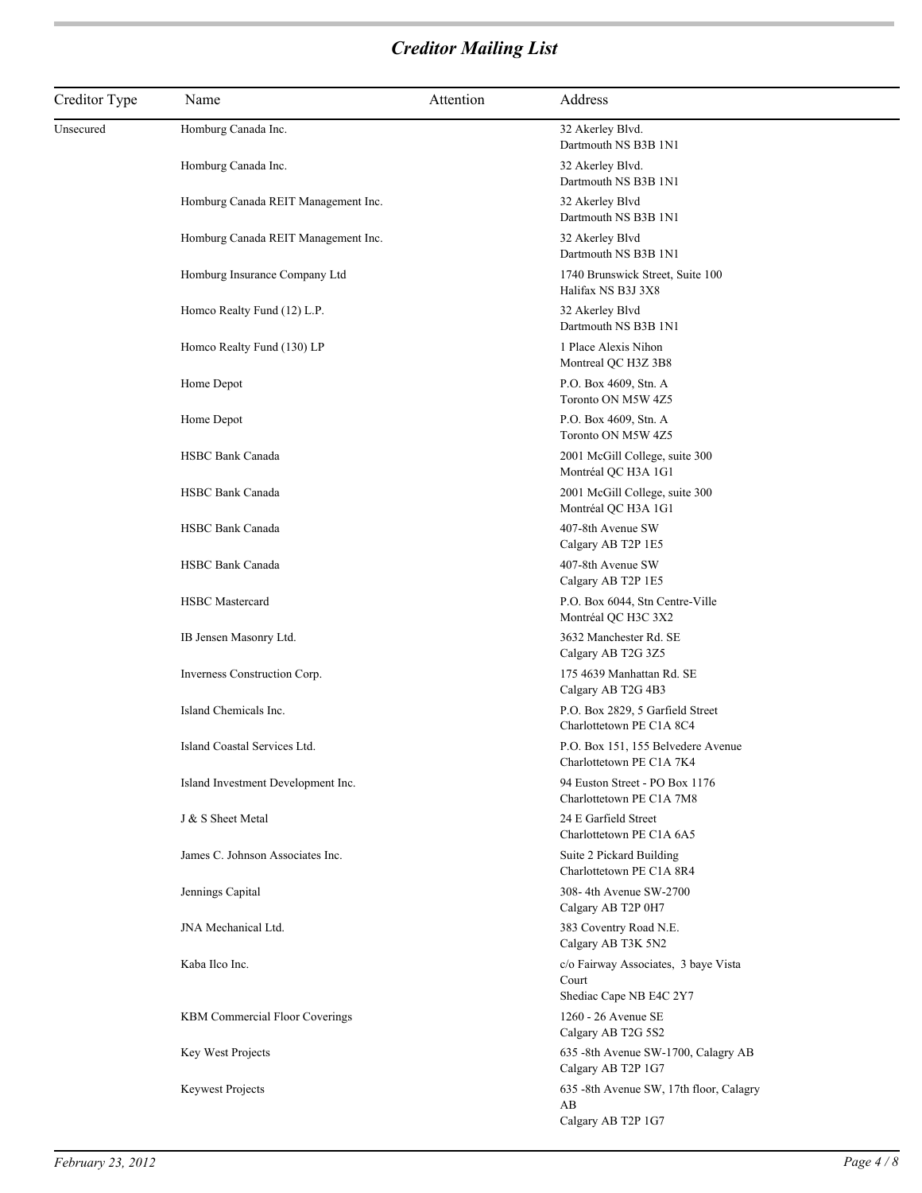| Creditor Type | Name                                | Attention | Address                                                                  |
|---------------|-------------------------------------|-----------|--------------------------------------------------------------------------|
| Unsecured     | Homburg Canada Inc.                 |           | 32 Akerley Blvd.<br>Dartmouth NS B3B 1N1                                 |
|               | Homburg Canada Inc.                 |           | 32 Akerley Blvd.<br>Dartmouth NS B3B 1N1                                 |
|               | Homburg Canada REIT Management Inc. |           | 32 Akerley Blvd<br>Dartmouth NS B3B 1N1                                  |
|               | Homburg Canada REIT Management Inc. |           | 32 Akerley Blvd<br>Dartmouth NS B3B 1N1                                  |
|               | Homburg Insurance Company Ltd       |           | 1740 Brunswick Street, Suite 100<br>Halifax NS B3J 3X8                   |
|               | Homco Realty Fund (12) L.P.         |           | 32 Akerley Blvd<br>Dartmouth NS B3B 1N1                                  |
|               | Homco Realty Fund (130) LP          |           | 1 Place Alexis Nihon<br>Montreal QC H3Z 3B8                              |
|               | Home Depot                          |           | P.O. Box 4609, Stn. A<br>Toronto ON M5W 4Z5                              |
|               | Home Depot                          |           | P.O. Box 4609, Stn. A<br>Toronto ON M5W 4Z5                              |
|               | <b>HSBC Bank Canada</b>             |           | 2001 McGill College, suite 300<br>Montréal QC H3A 1G1                    |
|               | <b>HSBC Bank Canada</b>             |           | 2001 McGill College, suite 300<br>Montréal QC H3A 1G1                    |
|               | <b>HSBC Bank Canada</b>             |           | 407-8th Avenue SW<br>Calgary AB T2P 1E5                                  |
|               | <b>HSBC Bank Canada</b>             |           | 407-8th Avenue SW<br>Calgary AB T2P 1E5                                  |
|               | <b>HSBC</b> Mastercard              |           | P.O. Box 6044, Stn Centre-Ville<br>Montréal QC H3C 3X2                   |
|               | IB Jensen Masonry Ltd.              |           | 3632 Manchester Rd. SE<br>Calgary AB T2G 3Z5                             |
|               | Inverness Construction Corp.        |           | 175 4639 Manhattan Rd. SE<br>Calgary AB T2G 4B3                          |
|               | Island Chemicals Inc.               |           | P.O. Box 2829, 5 Garfield Street<br>Charlottetown PE C1A 8C4             |
|               | Island Coastal Services Ltd.        |           | P.O. Box 151, 155 Belvedere Avenue<br>Charlottetown PE C1A 7K4           |
|               | Island Investment Development Inc.  |           | 94 Euston Street - PO Box 1176<br>Charlottetown PE C1A 7M8               |
|               | J & S Sheet Metal                   |           | 24 E Garfield Street<br>Charlottetown PE C1A 6A5                         |
|               | James C. Johnson Associates Inc.    |           | Suite 2 Pickard Building<br>Charlottetown PE C1A 8R4                     |
|               | Jennings Capital                    |           | 308-4th Avenue SW-2700<br>Calgary AB T2P 0H7                             |
|               | JNA Mechanical Ltd.                 |           | 383 Coventry Road N.E.<br>Calgary AB T3K 5N2                             |
|               | Kaba Ilco Inc.                      |           | c/o Fairway Associates, 3 baye Vista<br>Court<br>Shediac Cape NB E4C 2Y7 |
|               | KBM Commercial Floor Coverings      |           | 1260 - 26 Avenue SE<br>Calgary AB T2G 5S2                                |
|               | Key West Projects                   |           | 635 -8th Avenue SW-1700, Calagry AB<br>Calgary AB T2P 1G7                |
|               | Keywest Projects                    |           | 635 -8th Avenue SW, 17th floor, Calagry<br>AB<br>Calgary AB T2P 1G7      |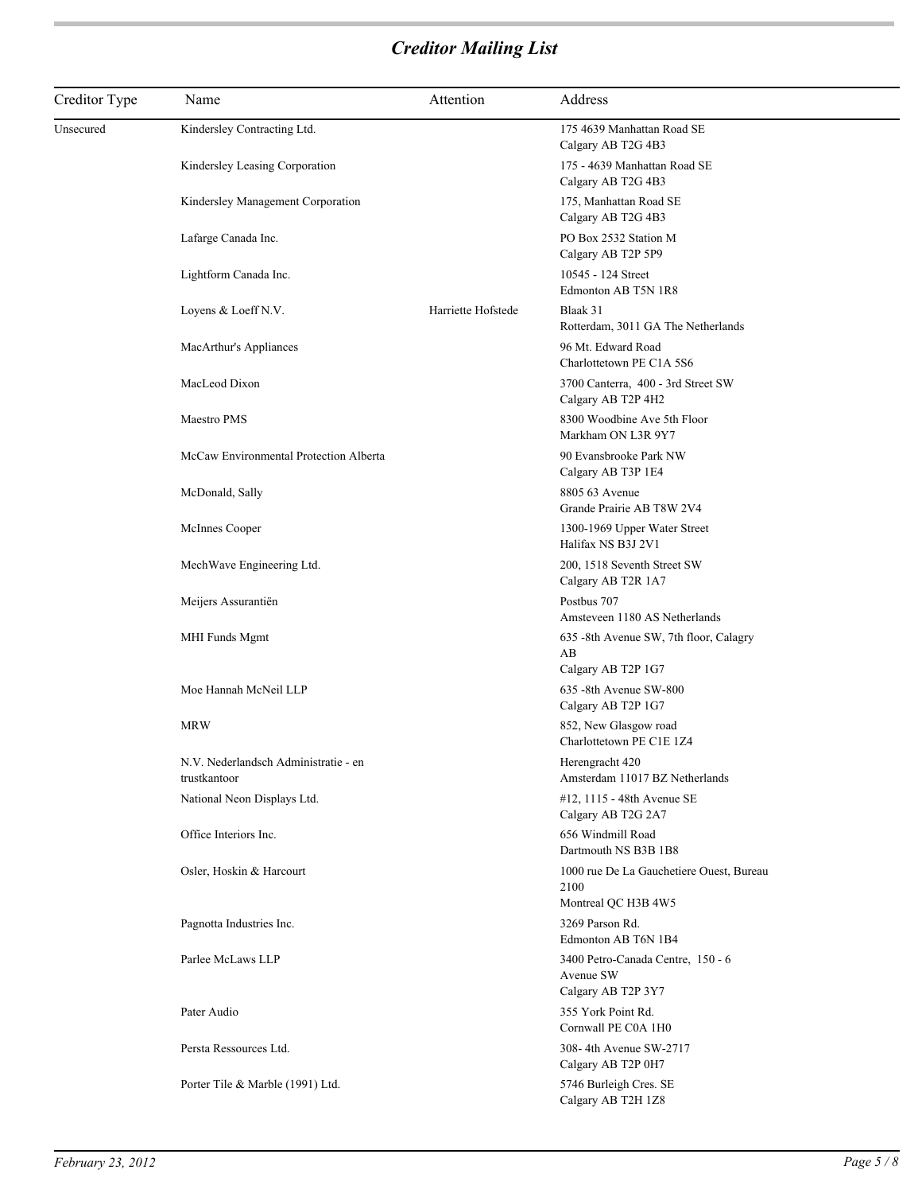| Creditor Type | Name                                                 | Attention          | Address                                                                 |
|---------------|------------------------------------------------------|--------------------|-------------------------------------------------------------------------|
| Unsecured     | Kindersley Contracting Ltd.                          |                    | 175 4639 Manhattan Road SE<br>Calgary AB T2G 4B3                        |
|               | Kindersley Leasing Corporation                       |                    | 175 - 4639 Manhattan Road SE<br>Calgary AB T2G 4B3                      |
|               | Kindersley Management Corporation                    |                    | 175, Manhattan Road SE<br>Calgary AB T2G 4B3                            |
|               | Lafarge Canada Inc.                                  |                    | PO Box 2532 Station M<br>Calgary AB T2P 5P9                             |
|               | Lightform Canada Inc.                                |                    | 10545 - 124 Street<br>Edmonton AB T5N 1R8                               |
|               | Loyens & Loeff N.V.                                  | Harriette Hofstede | Blaak 31<br>Rotterdam, 3011 GA The Netherlands                          |
|               | MacArthur's Appliances                               |                    | 96 Mt. Edward Road<br>Charlottetown PE C1A 5S6                          |
|               | MacLeod Dixon                                        |                    | 3700 Canterra, 400 - 3rd Street SW<br>Calgary AB T2P 4H2                |
|               | Maestro PMS                                          |                    | 8300 Woodbine Ave 5th Floor<br>Markham ON L3R 9Y7                       |
|               | McCaw Environmental Protection Alberta               |                    | 90 Evansbrooke Park NW<br>Calgary AB T3P 1E4                            |
|               | McDonald, Sally                                      |                    | 8805 63 Avenue<br>Grande Prairie AB T8W 2V4                             |
|               | McInnes Cooper                                       |                    | 1300-1969 Upper Water Street<br>Halifax NS B3J 2V1                      |
|               | MechWave Engineering Ltd.                            |                    | 200, 1518 Seventh Street SW<br>Calgary AB T2R 1A7                       |
|               | Meijers Assurantiën                                  |                    | Postbus 707<br>Amsteveen 1180 AS Netherlands                            |
|               | MHI Funds Mgmt                                       |                    | 635 -8th Avenue SW, 7th floor, Calagry<br>AB                            |
|               | Moe Hannah McNeil LLP                                |                    | Calgary AB T2P 1G7<br>635 -8th Avenue SW-800<br>Calgary AB T2P 1G7      |
|               | <b>MRW</b>                                           |                    | 852, New Glasgow road<br>Charlottetown PE C1E 1Z4                       |
|               | N.V. Nederlandsch Administratie - en<br>trustkantoor |                    | Herengracht 420<br>Amsterdam 11017 BZ Netherlands                       |
|               | National Neon Displays Ltd.                          |                    | #12, 1115 - 48th Avenue SE<br>Calgary AB T2G 2A7                        |
|               | Office Interiors Inc.                                |                    | 656 Windmill Road<br>Dartmouth NS B3B 1B8                               |
|               | Osler, Hoskin & Harcourt                             |                    | 1000 rue De La Gauchetiere Ouest, Bureau<br>2100<br>Montreal QC H3B 4W5 |
|               | Pagnotta Industries Inc.                             |                    | 3269 Parson Rd.<br>Edmonton AB T6N 1B4                                  |
|               | Parlee McLaws LLP                                    |                    | 3400 Petro-Canada Centre, 150 - 6<br>Avenue SW<br>Calgary AB T2P 3Y7    |
|               | Pater Audio                                          |                    | 355 York Point Rd.<br>Cornwall PE C0A 1H0                               |
|               | Persta Ressources Ltd.                               |                    | 308-4th Avenue SW-2717<br>Calgary AB T2P 0H7                            |
|               | Porter Tile & Marble (1991) Ltd.                     |                    | 5746 Burleigh Cres. SE<br>Calgary AB T2H 1Z8                            |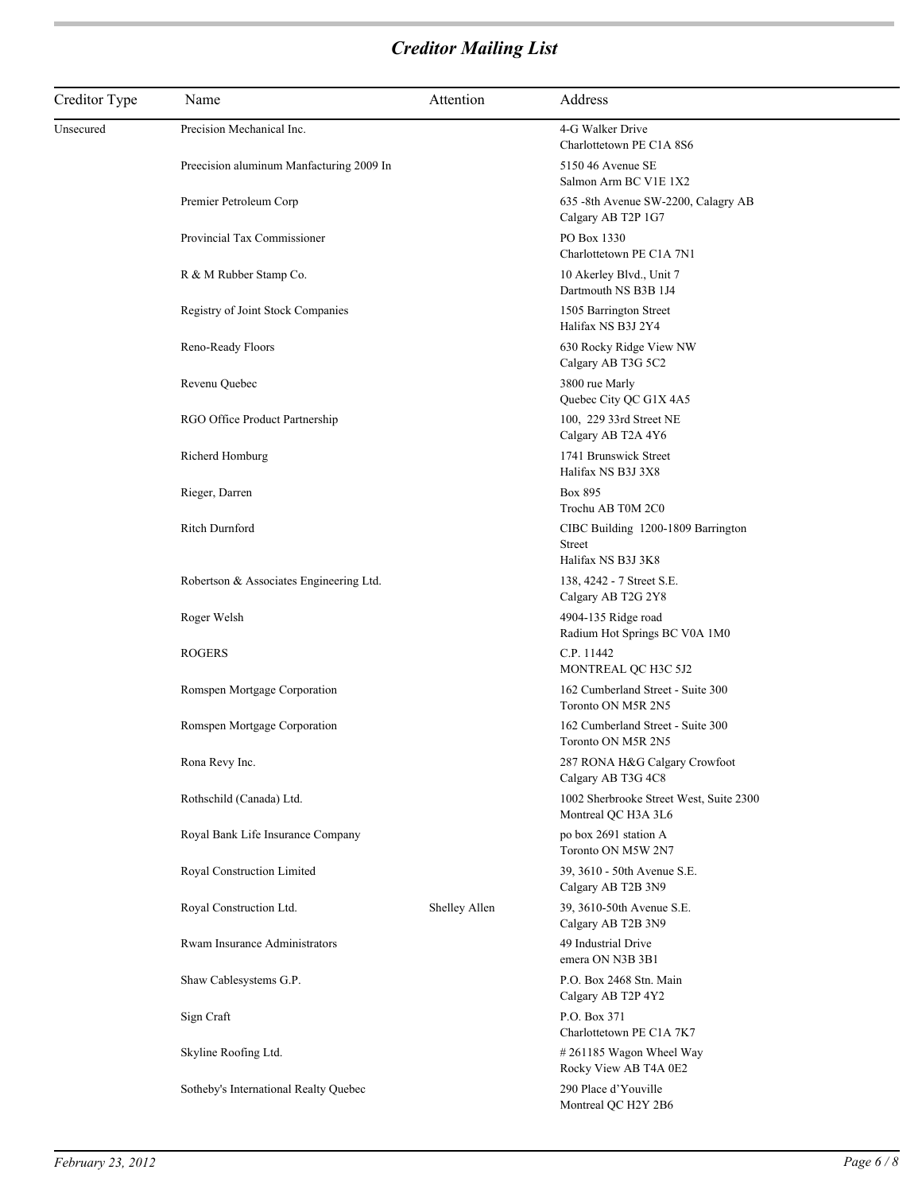| Creditor Type | Name                                     | Attention     | Address                                                                   |
|---------------|------------------------------------------|---------------|---------------------------------------------------------------------------|
| Unsecured     | Precision Mechanical Inc.                |               | 4-G Walker Drive<br>Charlottetown PE C1A 8S6                              |
|               | Preecision aluminum Manfacturing 2009 In |               | 5150 46 Avenue SE<br>Salmon Arm BC V1E 1X2                                |
|               | Premier Petroleum Corp                   |               | 635 -8th Avenue SW-2200, Calagry AB<br>Calgary AB T2P 1G7                 |
|               | Provincial Tax Commissioner              |               | PO Box 1330<br>Charlottetown PE C1A 7N1                                   |
|               | R & M Rubber Stamp Co.                   |               | 10 Akerley Blvd., Unit 7<br>Dartmouth NS B3B 1J4                          |
|               | Registry of Joint Stock Companies        |               | 1505 Barrington Street<br>Halifax NS B3J 2Y4                              |
|               | Reno-Ready Floors                        |               | 630 Rocky Ridge View NW<br>Calgary AB T3G 5C2                             |
|               | Revenu Quebec                            |               | 3800 rue Marly<br>Quebec City QC G1X 4A5                                  |
|               | RGO Office Product Partnership           |               | 100, 229 33rd Street NE<br>Calgary AB T2A 4Y6                             |
|               | Richerd Homburg                          |               | 1741 Brunswick Street<br>Halifax NS B3J 3X8                               |
|               | Rieger, Darren                           |               | Box 895<br>Trochu AB T0M 2C0                                              |
|               | Ritch Durnford                           |               | CIBC Building 1200-1809 Barrington<br><b>Street</b><br>Halifax NS B3J 3K8 |
|               | Robertson & Associates Engineering Ltd.  |               | 138, 4242 - 7 Street S.E.<br>Calgary AB T2G 2Y8                           |
|               | Roger Welsh                              |               | 4904-135 Ridge road<br>Radium Hot Springs BC V0A 1M0                      |
|               | <b>ROGERS</b>                            |               | C.P. 11442<br>MONTREAL QC H3C 5J2                                         |
|               | Romspen Mortgage Corporation             |               | 162 Cumberland Street - Suite 300<br>Toronto ON M5R 2N5                   |
|               | Romspen Mortgage Corporation             |               | 162 Cumberland Street - Suite 300<br>Toronto ON M5R 2N5                   |
|               | Rona Revy Inc.                           |               | 287 RONA H&G Calgary Crowfoot<br>Calgary AB T3G 4C8                       |
|               | Rothschild (Canada) Ltd.                 |               | 1002 Sherbrooke Street West, Suite 2300<br>Montreal QC H3A 3L6            |
|               | Royal Bank Life Insurance Company        |               | po box 2691 station A<br>Toronto ON M5W 2N7                               |
|               | Royal Construction Limited               |               | 39, 3610 - 50th Avenue S.E.<br>Calgary AB T2B 3N9                         |
|               | Royal Construction Ltd.                  | Shelley Allen | 39, 3610-50th Avenue S.E.<br>Calgary AB T2B 3N9                           |
|               | <b>Rwam Insurance Administrators</b>     |               | 49 Industrial Drive<br>emera ON N3B 3B1                                   |
|               | Shaw Cablesystems G.P.                   |               | P.O. Box 2468 Stn. Main<br>Calgary AB T2P 4Y2                             |
|               | Sign Craft                               |               | P.O. Box 371<br>Charlottetown PE C1A 7K7                                  |
|               | Skyline Roofing Ltd.                     |               | $#261185$ Wagon Wheel Way<br>Rocky View AB T4A 0E2                        |
|               | Sotheby's International Realty Quebec    |               | 290 Place d'Youville<br>Montreal QC H2Y 2B6                               |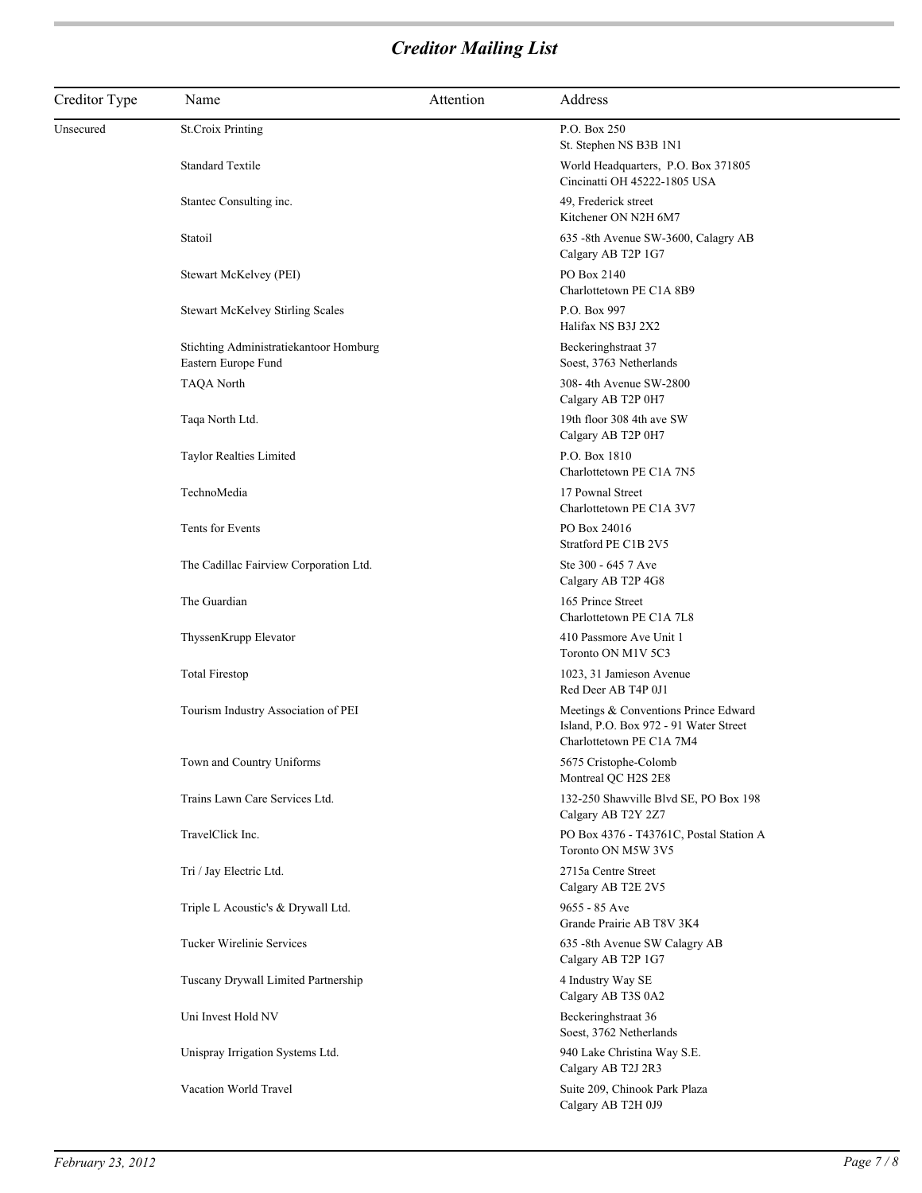| Creditor Type | Name                                                          | Attention | Address                                                                                                    |
|---------------|---------------------------------------------------------------|-----------|------------------------------------------------------------------------------------------------------------|
| Unsecured     | <b>St.Croix Printing</b>                                      |           | P.O. Box 250<br>St. Stephen NS B3B 1N1                                                                     |
|               | <b>Standard Textile</b>                                       |           | World Headquarters, P.O. Box 371805<br>Cincinatti OH 45222-1805 USA                                        |
|               | Stantec Consulting inc.                                       |           | 49. Frederick street<br>Kitchener ON N2H 6M7                                                               |
|               | Statoil                                                       |           | 635 -8th Avenue SW-3600, Calagry AB<br>Calgary AB T2P 1G7                                                  |
|               | Stewart McKelvey (PEI)                                        |           | PO Box 2140<br>Charlottetown PE C1A 8B9                                                                    |
|               | Stewart McKelvey Stirling Scales                              |           | P.O. Box 997<br>Halifax NS B3J 2X2                                                                         |
|               | Stichting Administratiekantoor Homburg<br>Eastern Europe Fund |           | Beckeringhstraat 37<br>Soest, 3763 Netherlands                                                             |
|               | <b>TAQA North</b>                                             |           | 308-4th Avenue SW-2800<br>Calgary AB T2P 0H7                                                               |
|               | Taqa North Ltd.                                               |           | 19th floor 308 4th ave SW<br>Calgary AB T2P 0H7                                                            |
|               | Taylor Realties Limited                                       |           | P.O. Box 1810<br>Charlottetown PE C1A 7N5                                                                  |
|               | TechnoMedia                                                   |           | 17 Pownal Street<br>Charlottetown PE C1A 3V7                                                               |
|               | Tents for Events                                              |           | PO Box 24016<br>Stratford PE C1B 2V5                                                                       |
|               | The Cadillac Fairview Corporation Ltd.                        |           | Ste 300 - 645 7 Ave<br>Calgary AB T2P 4G8                                                                  |
|               | The Guardian                                                  |           | 165 Prince Street<br>Charlottetown PE C1A 7L8                                                              |
|               | ThyssenKrupp Elevator                                         |           | 410 Passmore Ave Unit 1<br>Toronto ON M1V 5C3                                                              |
|               | <b>Total Firestop</b>                                         |           | 1023, 31 Jamieson Avenue<br>Red Deer AB T4P 0J1                                                            |
|               | Tourism Industry Association of PEI                           |           | Meetings & Conventions Prince Edward<br>Island, P.O. Box 972 - 91 Water Street<br>Charlottetown PE C1A 7M4 |
|               | Town and Country Uniforms                                     |           | 5675 Cristophe-Colomb<br>Montreal QC H2S 2E8                                                               |
|               | Trains Lawn Care Services Ltd.                                |           | 132-250 Shawville Blvd SE, PO Box 198<br>Calgary AB T2Y 2Z7                                                |
|               | TravelClick Inc.                                              |           | PO Box 4376 - T43761C, Postal Station A<br>Toronto ON M5W 3V5                                              |
|               | Tri / Jay Electric Ltd.                                       |           | 2715a Centre Street<br>Calgary AB T2E 2V5                                                                  |
|               | Triple L Acoustic's & Drywall Ltd.                            |           | 9655 - 85 Ave<br>Grande Prairie AB T8V 3K4                                                                 |
|               | Tucker Wirelinie Services                                     |           | 635 -8th Avenue SW Calagry AB<br>Calgary AB T2P 1G7                                                        |
|               | Tuscany Drywall Limited Partnership                           |           | 4 Industry Way SE<br>Calgary AB T3S 0A2                                                                    |
|               | Uni Invest Hold NV                                            |           | Beckeringhstraat 36<br>Soest, 3762 Netherlands                                                             |
|               | Unispray Irrigation Systems Ltd.                              |           | 940 Lake Christina Way S.E.<br>Calgary AB T2J 2R3                                                          |
|               | Vacation World Travel                                         |           | Suite 209, Chinook Park Plaza<br>Calgary AB T2H 0J9                                                        |